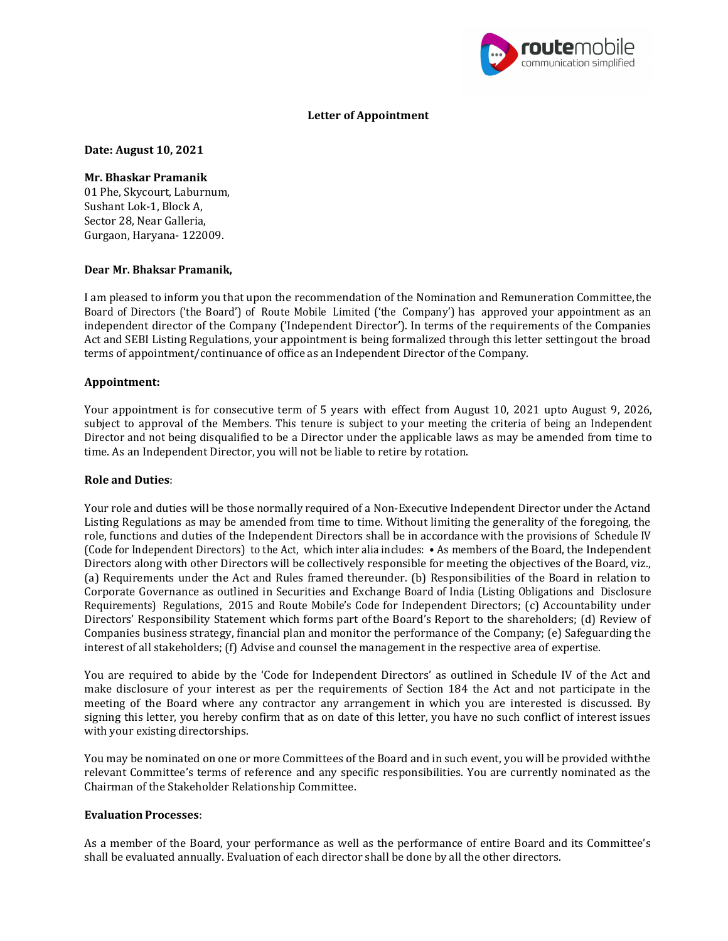

## Letter of Appointment

Date: August 10, 2021

#### Mr. Bhaskar Pramanik

01 Phe, Skycourt, Laburnum, Sushant Lok-1, Block A, Sector 28, Near Galleria, Gurgaon, Haryana- 122009.

## Dear Mr. Bhaksar Pramanik,

I am pleased to inform you that upon the recommendation of the Nomination and Remuneration Committee, the Board of Directors ('the Board') of Route Mobile Limited ('the Company') has approved your appointment as an independent director of the Company ('Independent Director'). In terms of the requirements of the Companies Act and SEBI Listing Regulations, your appointment is being formalized through this letter setting out the broad terms of appointment/continuance of office as an Independent Director of the Company.

## Appointment:

Your appointment is for consecutive term of 5 years with effect from August 10, 2021 upto August 9, 2026, subject to approval of the Members. This tenure is subject to your meeting the criteria of being an Independent Director and not being disqualified to be a Director under the applicable laws as may be amended from time to time. As an Independent Director, you will not be liable to retire by rotation.

## Role and Duties:

Your role and duties will be those normally required of a Non-Executive Independent Director under the Actand Listing Regulations as may be amended from time to time. Without limiting the generality of the foregoing, the role, functions and duties of the Independent Directors shall be in accordance with the provisions of Schedule IV (Code for Independent Directors) to the Act, which inter alia includes: • As members of the Board, the Independent Directors along with other Directors will be collectively responsible for meeting the objectives of the Board, viz., (a) Requirements under the Act and Rules framed thereunder. (b) Responsibilities of the Board in relation to Corporate Governance as outlined in Securities and Exchange Board of India (Listing Obligations and Disclosure Requirements) Regulations, 2015 and Route Mobile's Code for Independent Directors; (c) Accountability under Directors' Responsibility Statement which forms part of the Board's Report to the shareholders; (d) Review of Companies business strategy, financial plan and monitor the performance of the Company; (e) Safeguarding the interest of all stakeholders; (f) Advise and counsel the management in the respective area of expertise.

You are required to abide by the 'Code for Independent Directors' as outlined in Schedule IV of the Act and make disclosure of your interest as per the requirements of Section 184 the Act and not participate in the meeting of the Board where any contractor any arrangement in which you are interested is discussed. By signing this letter, you hereby confirm that as on date of this letter, you have no such conflict of interest issues with your existing directorships.

You may be nominated on one or more Committees of the Board and in such event, you will be provided with the relevant Committee's terms of reference and any specific responsibilities. You are currently nominated as the Chairman of the Stakeholder Relationship Committee.

## Evaluation Processes:

As a member of the Board, your performance as well as the performance of entire Board and its Committee's shall be evaluated annually. Evaluation of each director shall be done by all the other directors.